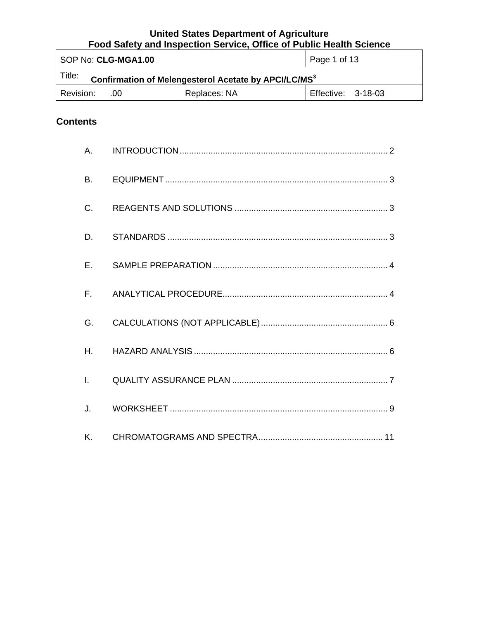| SOP No: CLG-MGA1.00                                                         |  | Page 1 of 13       |  |
|-----------------------------------------------------------------------------|--|--------------------|--|
| 'Title:<br>Confirmation of Melengesterol Acetate by APCI/LC/MS <sup>3</sup> |  |                    |  |
| Replaces: NA<br>Revision:<br>.00 <sub>1</sub>                               |  | Effective: 3-18-03 |  |

# **Contents**

| A.           |  |
|--------------|--|
| B.           |  |
| C.           |  |
| D.           |  |
| E.           |  |
| $F_{\perp}$  |  |
| G.           |  |
| Η.           |  |
| $\mathbf{L}$ |  |
| J.           |  |
| K.           |  |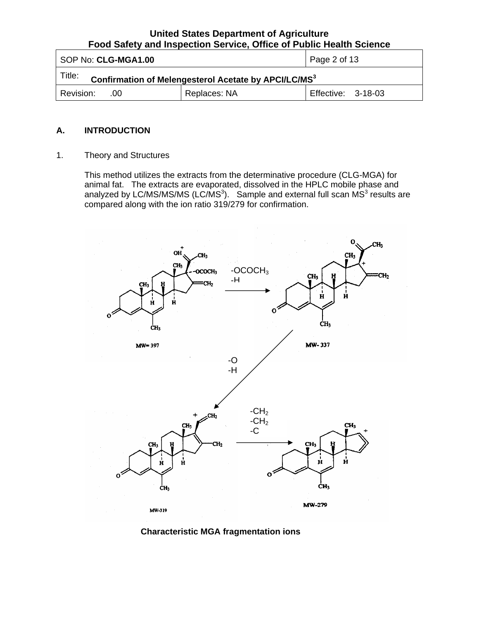<span id="page-1-0"></span>

| l SOP No: <b>CLG-MGA1.00</b>                                               |              | $\vert$ Page 2 of 13 |  |
|----------------------------------------------------------------------------|--------------|----------------------|--|
| Title:<br>Confirmation of Melengesterol Acetate by APCI/LC/MS <sup>3</sup> |              |                      |  |
| Revision:<br>.00                                                           | Replaces: NA | Effective: 3-18-03   |  |

#### **A. INTRODUCTION**

1. Theory and Structures

This method utilizes the extracts from the determinative procedure (CLG-MGA) for animal fat. The extracts are evaporated, dissolved in the HPLC mobile phase and analyzed by LC/MS/MS/MS (LC/MS<sup>3</sup>). Sample and external full scan MS<sup>3</sup> results are compared along with the ion ratio 319/279 for confirmation.



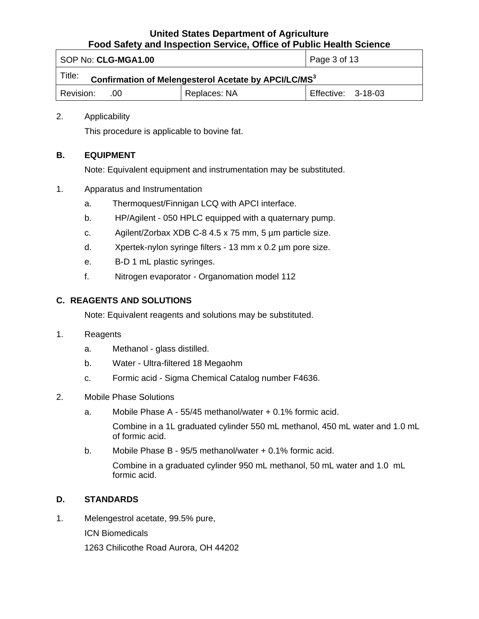<span id="page-2-0"></span>

| SOP No: CLG-MGA1.00                                                        |                           | Page 3 of 13 |  |
|----------------------------------------------------------------------------|---------------------------|--------------|--|
| Title:<br>Confirmation of Melengesterol Acetate by APCI/LC/MS <sup>3</sup> |                           |              |  |
| l Revision:<br>.00                                                         | <b>Effective: 3-18-03</b> |              |  |

## 2. Applicability

This procedure is applicable to bovine fat.

# **B. EQUIPMENT**

Note: Equivalent equipment and instrumentation may be substituted.

- 1. Apparatus and Instrumentation
	- a. Thermoquest/Finnigan LCQ with APCI interface.
	- b. HP/Agilent 050 HPLC equipped with a quaternary pump.
	- c. Agilent/Zorbax XDB C-8 4.5 x 75 mm, 5 µm particle size.
	- d. Xpertek-nylon syringe filters 13 mm x 0.2 µm pore size.
	- e. B-D 1 mL plastic syringes.
	- f. Nitrogen evaporator Organomation model 112

## **C. REAGENTS AND SOLUTIONS**

Note: Equivalent reagents and solutions may be substituted.

#### 1. Reagents

- a. Methanol glass distilled.
- b. Water Ultra-filtered 18 Megaohm
- c. Formic acid Sigma Chemical Catalog number F4636.
- 2. Mobile Phase Solutions
	- a. Mobile Phase A 55/45 methanol/water + 0.1% formic acid.

Combine in a 1L graduated cylinder 550 mL methanol, 450 mL water and 1.0 mL of formic acid.

b. Mobile Phase B - 95/5 methanol/water + 0.1% formic acid.

Combine in a graduated cylinder 950 mL methanol, 50 mL water and 1.0 mL formic acid.

# **D. STANDARDS**

1. Melengestrol acetate, 99.5% pure,

ICN Biomedicals

1263 Chilicothe Road Aurora, OH 44202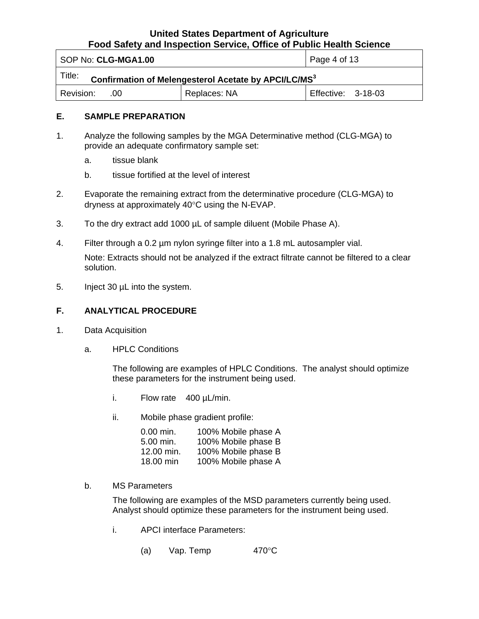<span id="page-3-0"></span>

| SOP No: CLG-MGA1.00                                                        |              | Page 4 of 13       |  |
|----------------------------------------------------------------------------|--------------|--------------------|--|
| Title:<br>Confirmation of Melengesterol Acetate by APCI/LC/MS <sup>3</sup> |              |                    |  |
| l Revision:<br>.00                                                         | Replaces: NA | Effective: 3-18-03 |  |

#### **E. SAMPLE PREPARATION**

- 1. Analyze the following samples by the MGA Determinative method (CLG-MGA) to provide an adequate confirmatory sample set:
	- a. tissue blank
	- b. tissue fortified at the level of interest
- 2. Evaporate the remaining extract from the determinative procedure (CLG-MGA) to dryness at approximately 40°C using the N-EVAP.
- 3. To the dry extract add 1000 µL of sample diluent (Mobile Phase A).
- 4. Filter through a 0.2 µm nylon syringe filter into a 1.8 mL autosampler vial. Note: Extracts should not be analyzed if the extract filtrate cannot be filtered to a clear solution.
- 5. Inject 30 µL into the system.

#### **F. ANALYTICAL PROCEDURE**

- 1. Data Acquisition
	- a. HPLC Conditions

The following are examples of HPLC Conditions. The analyst should optimize these parameters for the instrument being used.

- i. Flow rate 400 µL/min.
- ii. Mobile phase gradient profile:

| $0.00$ min. | 100% Mobile phase A |
|-------------|---------------------|
| 5.00 min.   | 100% Mobile phase B |
| 12.00 min.  | 100% Mobile phase B |
| 18.00 min   | 100% Mobile phase A |

b. MS Parameters

The following are examples of the MSD parameters currently being used. Analyst should optimize these parameters for the instrument being used.

- i. APCI interface Parameters:
	- (a) Vap. Temp  $470^{\circ}$ C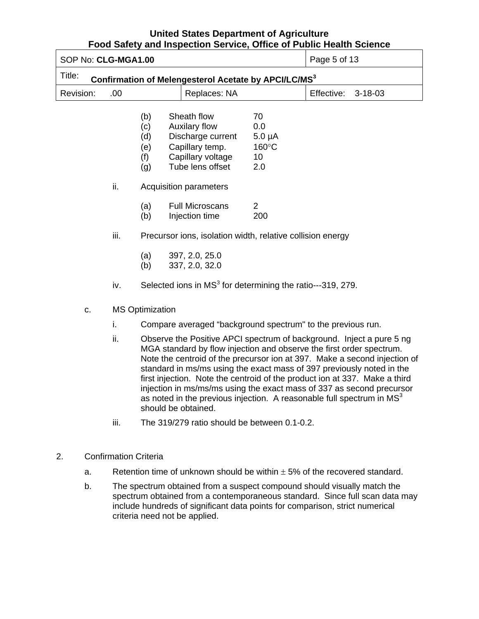| SOP No: CLG-MGA1.00                                                        |                              |                                                                                                                                                                                                                                                                                                                                                                                                                                                                                                                                                             |                                                                                                               |                                                             | Pood Salety and inspection Service, Onlice or Public Health Science<br>Page 5 of 13 |
|----------------------------------------------------------------------------|------------------------------|-------------------------------------------------------------------------------------------------------------------------------------------------------------------------------------------------------------------------------------------------------------------------------------------------------------------------------------------------------------------------------------------------------------------------------------------------------------------------------------------------------------------------------------------------------------|---------------------------------------------------------------------------------------------------------------|-------------------------------------------------------------|-------------------------------------------------------------------------------------|
| Title:<br>Confirmation of Melengesterol Acetate by APCI/LC/MS <sup>3</sup> |                              |                                                                                                                                                                                                                                                                                                                                                                                                                                                                                                                                                             |                                                                                                               |                                                             |                                                                                     |
| Revision:                                                                  | .00                          |                                                                                                                                                                                                                                                                                                                                                                                                                                                                                                                                                             | Replaces: NA                                                                                                  |                                                             | Effective:<br>$3 - 18 - 03$                                                         |
|                                                                            |                              | (b)<br>(c)<br>(d)<br>(e)<br>(f)<br>(g)                                                                                                                                                                                                                                                                                                                                                                                                                                                                                                                      | Sheath flow<br>Auxilary flow<br>Discharge current<br>Capillary temp.<br>Capillary voltage<br>Tube lens offset | 70<br>0.0<br>$5.0 \mu A$<br>160°C<br>10 <sup>°</sup><br>2.0 |                                                                                     |
|                                                                            | ii.                          |                                                                                                                                                                                                                                                                                                                                                                                                                                                                                                                                                             | <b>Acquisition parameters</b>                                                                                 |                                                             |                                                                                     |
|                                                                            |                              | (a)<br>(b)                                                                                                                                                                                                                                                                                                                                                                                                                                                                                                                                                  | <b>Full Microscans</b><br>Injection time                                                                      | $\overline{2}$<br>200                                       |                                                                                     |
|                                                                            | iii.                         |                                                                                                                                                                                                                                                                                                                                                                                                                                                                                                                                                             | Precursor ions, isolation width, relative collision energy                                                    |                                                             |                                                                                     |
|                                                                            |                              | (a)<br>(b)                                                                                                                                                                                                                                                                                                                                                                                                                                                                                                                                                  | 397, 2.0, 25.0<br>337, 2.0, 32.0                                                                              |                                                             |                                                                                     |
|                                                                            | iv.                          |                                                                                                                                                                                                                                                                                                                                                                                                                                                                                                                                                             | Selected ions in MS <sup>3</sup> for determining the ratio---319, 279.                                        |                                                             |                                                                                     |
| C.                                                                         |                              | <b>MS Optimization</b>                                                                                                                                                                                                                                                                                                                                                                                                                                                                                                                                      |                                                                                                               |                                                             |                                                                                     |
|                                                                            | i.                           |                                                                                                                                                                                                                                                                                                                                                                                                                                                                                                                                                             | Compare averaged "background spectrum" to the previous run.                                                   |                                                             |                                                                                     |
|                                                                            | ii.                          | Observe the Positive APCI spectrum of background. Inject a pure 5 ng<br>MGA standard by flow injection and observe the first order spectrum.<br>Note the centroid of the precursor ion at 397. Make a second injection of<br>standard in ms/ms using the exact mass of 397 previously noted in the<br>first injection. Note the centroid of the product ion at 337. Make a third<br>injection in ms/ms/ms using the exact mass of 337 as second precursor<br>as noted in the previous injection. A reasonable full spectrum in $MS3$<br>should be obtained. |                                                                                                               |                                                             |                                                                                     |
|                                                                            | iii.                         |                                                                                                                                                                                                                                                                                                                                                                                                                                                                                                                                                             | The 319/279 ratio should be between 0.1-0.2.                                                                  |                                                             |                                                                                     |
| 2.                                                                         | <b>Confirmation Criteria</b> |                                                                                                                                                                                                                                                                                                                                                                                                                                                                                                                                                             |                                                                                                               |                                                             |                                                                                     |
| a.                                                                         |                              |                                                                                                                                                                                                                                                                                                                                                                                                                                                                                                                                                             |                                                                                                               |                                                             | Retention time of unknown should be within $\pm$ 5% of the recovered standard.      |
| b.                                                                         |                              |                                                                                                                                                                                                                                                                                                                                                                                                                                                                                                                                                             |                                                                                                               |                                                             | The spectrum obtained from a suspect compound should visually match the             |

b. The spectrum obtained from a suspect compound should visually match the spectrum obtained from a contemporaneous standard. Since full scan data may include hundreds of significant data points for comparison, strict numerical criteria need not be applied.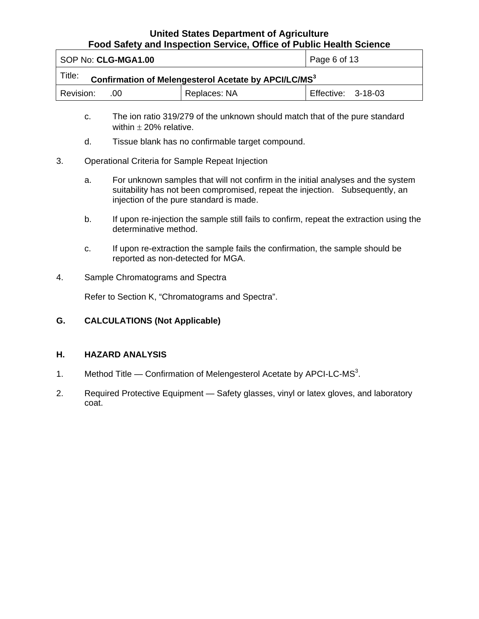<span id="page-5-0"></span>

| SOP No: CLG-MGA1.00                                                        |  | Page 6 of 13 |  |
|----------------------------------------------------------------------------|--|--------------|--|
| Title:<br>Confirmation of Melengesterol Acetate by APCI/LC/MS <sup>3</sup> |  |              |  |
| Replaces: NA<br>Revision:<br>Effective: 3-18-03<br>.00                     |  |              |  |

- c. The ion ratio 319/279 of the unknown should match that of the pure standard within  $\pm$  20% relative.
- d. Tissue blank has no confirmable target compound.
- 3. Operational Criteria for Sample Repeat Injection
	- a. For unknown samples that will not confirm in the initial analyses and the system suitability has not been compromised, repeat the injection. Subsequently, an injection of the pure standard is made.
	- b. If upon re-injection the sample still fails to confirm, repeat the extraction using the determinative method.
	- c. If upon re-extraction the sample fails the confirmation, the sample should be reported as non-detected for MGA.
- 4. Sample Chromatograms and Spectra

Refer to Section K, "Chromatograms and Spectra".

**G. CALCULATIONS (Not Applicable)** 

#### **H. HAZARD ANALYSIS**

- 1. Method Title Confirmation of Melengesterol Acetate by APCI-LC-MS<sup>3</sup>.
- 2. Required Protective Equipment Safety glasses, vinyl or latex gloves, and laboratory coat.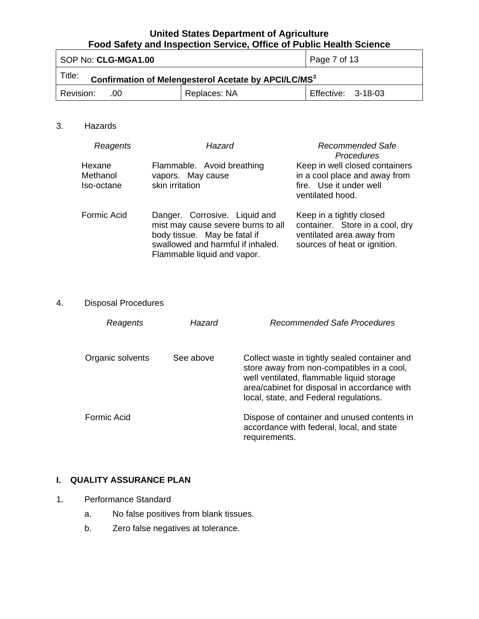<span id="page-6-0"></span>

| SOP No: CLG-MGA1.00                                                        |                    | Page 7 of 13 |  |
|----------------------------------------------------------------------------|--------------------|--------------|--|
| Title:<br>Confirmation of Melengesterol Acetate by APCI/LC/MS <sup>3</sup> |                    |              |  |
| Revision:<br>.ററ                                                           | Effective: 3-18-03 |              |  |

## 3. Hazards

| Reagents                         | Hazard                                                                                                                                                                  | Recommended Safe<br><b>Procedures</b>                                                                                    |
|----------------------------------|-------------------------------------------------------------------------------------------------------------------------------------------------------------------------|--------------------------------------------------------------------------------------------------------------------------|
| Hexane<br>Methanol<br>Iso-octane | Flammable. Avoid breathing<br>vapors. May cause<br>skin irritation                                                                                                      | Keep in well closed containers<br>in a cool place and away from<br>fire. Use it under well<br>ventilated hood.           |
| Formic Acid                      | Danger. Corrosive. Liquid and<br>mist may cause severe burns to all<br>body tissue. May be fatal if<br>swallowed and harmful if inhaled.<br>Flammable liquid and vapor. | Keep in a tightly closed<br>container. Store in a cool, dry<br>ventilated area away from<br>sources of heat or ignition. |

# 4. Disposal Procedures

| Reagents           | Hazard    | Recommended Safe Procedures                                                                                                                                                                                                        |
|--------------------|-----------|------------------------------------------------------------------------------------------------------------------------------------------------------------------------------------------------------------------------------------|
| Organic solvents   | See above | Collect waste in tightly sealed container and<br>store away from non-compatibles in a cool,<br>well ventilated, flammable liquid storage<br>area/cabinet for disposal in accordance with<br>local, state, and Federal regulations. |
| <b>Formic Acid</b> |           | Dispose of container and unused contents in<br>accordance with federal, local, and state<br>requirements.                                                                                                                          |

# **I. QUALITY ASSURANCE PLAN**

- 1. Performance Standard
	- a. No false positives from blank tissues.
	- b. Zero false negatives at tolerance.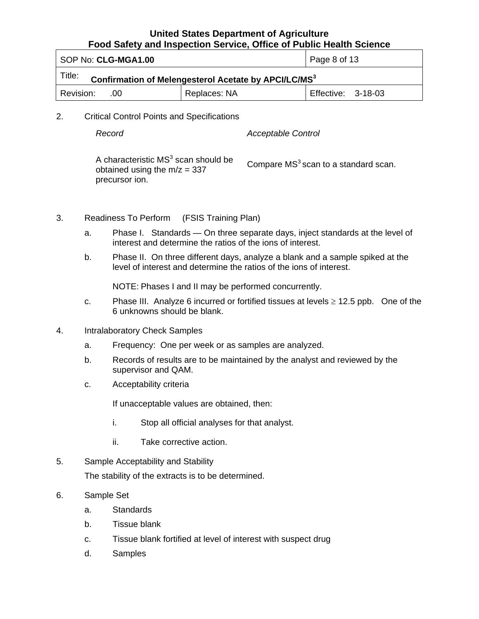| SOP No: CLG-MGA1.00                                                        |              | Page 8 of 13              |  |
|----------------------------------------------------------------------------|--------------|---------------------------|--|
| Title:<br>Confirmation of Melengesterol Acetate by APCI/LC/MS <sup>3</sup> |              |                           |  |
| Revision:<br>.00                                                           | Replaces: NA | <b>Effective: 3-18-03</b> |  |

2. Critical Control Points and Specifications

*Record Acceptable Control* 

A characteristic  $MS<sup>3</sup>$  scan should be A characteristic MS<sup>3</sup> scan should be Compare MS<sup>3</sup> scan to a standard scan. obtained using the m/z = 337 precursor ion.

- 3. Readiness To Perform (FSIS Training Plan)
	- a. Phase I. Standards On three separate days, inject standards at the level of interest and determine the ratios of the ions of interest.
	- b. Phase II. On three different days, analyze a blank and a sample spiked at the level of interest and determine the ratios of the ions of interest.

NOTE: Phases I and II may be performed concurrently.

- c. Phase III. Analyze 6 incurred or fortified tissues at levels  $\geq$  12.5 ppb. One of the 6 unknowns should be blank.
- 4. Intralaboratory Check Samples
	- a. Frequency: One per week or as samples are analyzed.
	- b. Records of results are to be maintained by the analyst and reviewed by the supervisor and QAM.
	- c. Acceptability criteria

If unacceptable values are obtained, then:

- i. Stop all official analyses for that analyst.
- ii. Take corrective action.
- 5. Sample Acceptability and Stability

The stability of the extracts is to be determined.

- 6. Sample Set
	- a. Standards
	- b. Tissue blank
	- c. Tissue blank fortified at level of interest with suspect drug
	- d. Samples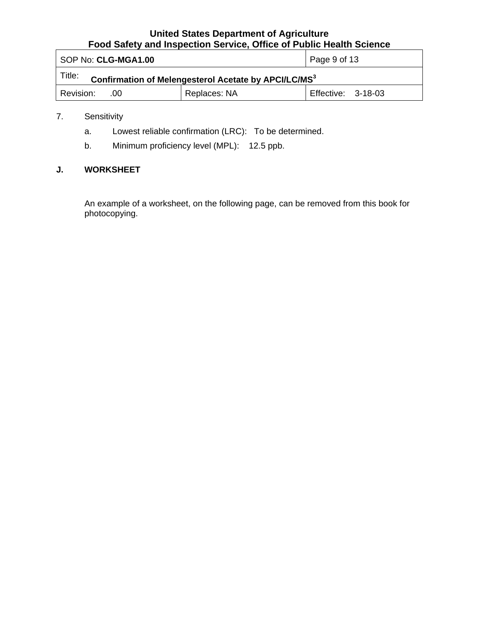<span id="page-8-0"></span>

| SOP No: CLG-MGA1.00                                                        |              | Page 9 of 13       |
|----------------------------------------------------------------------------|--------------|--------------------|
| Title:<br>Confirmation of Melengesterol Acetate by APCI/LC/MS <sup>3</sup> |              |                    |
| Revision:<br>.00                                                           | Replaces: NA | Effective: 3-18-03 |

# 7. Sensitivity

- a. Lowest reliable confirmation (LRC): To be determined.
- b. Minimum proficiency level (MPL): 12.5 ppb.

# **J. WORKSHEET**

An example of a worksheet, on the following page, can be removed from this book for photocopying.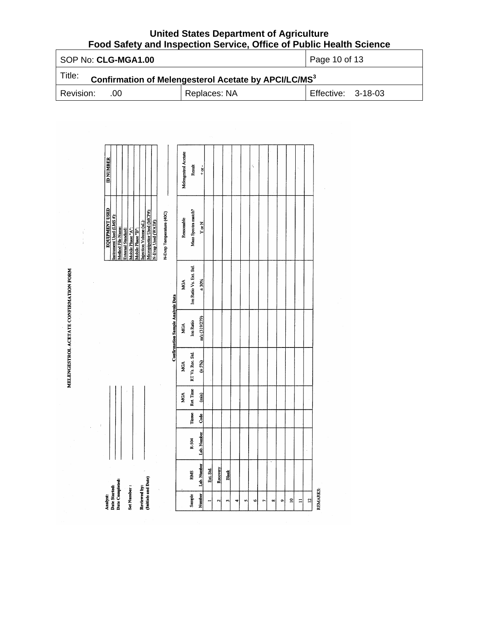| SOP No: CLG-MGA1.00                                                        |              | Page 10 of 13      |
|----------------------------------------------------------------------------|--------------|--------------------|
| Title:<br>Confirmation of Melengesterol Acetate by APCI/LC/MS <sup>3</sup> |              |                    |
| Revision:<br>.00                                                           | Replaces: NA | Effective: 3-18-03 |

| <b>Analyst:</b>                  |             |               |                                |                  |                                          |                         | <b>EQUIPMENT USED</b>                             | <b>ID NUMBER</b>     |
|----------------------------------|-------------|---------------|--------------------------------|------------------|------------------------------------------|-------------------------|---------------------------------------------------|----------------------|
| Jate Completed:<br>Jate Started: |             |               |                                |                  |                                          |                         | Instrument Used (LMS #):<br>Method File Name:     |                      |
| Set Number:                      |             |               |                                |                  |                                          |                         | Mobile Phase "A":<br>External Standard:           |                      |
| Reviewed by:                     |             |               |                                |                  |                                          |                         | Injection Volume (uL):<br>Mobile Phase "B":       |                      |
| (Initials and Date)              |             |               |                                |                  |                                          |                         | Micropipettor Used (MCP#):<br>N-Evap Used (WAT#): |                      |
|                                  |             |               |                                |                  |                                          |                         | N-Evap Temperature (40C)                          |                      |
|                                  |             |               |                                |                  | <b>Confirmation Sample Analysis Data</b> |                         |                                                   |                      |
|                                  |             |               | MGA                            | <b>MGA</b>       | MGA                                      | MGA                     | Reasonable                                        | Melengestrol Acetate |
| <b>RMS</b><br>Sample             | R-504       | <b>Tissue</b> | Ret. Time                      | RT Vs. Rec. Std. | <b>Ion Ratio</b>                         | Ion Ratio Vs. Ext. Std. | Mass Spectra match?                               | Result               |
| Lab. Number<br>Number            | Lab. Number | Code          | $\begin{array}{c} \end{array}$ | $(\pm 5\%)$      | m/z(319/279)                             | ±30%                    | $rac{N}{2}$                                       | $+ or +$             |
| Ext. Std.                        |             |               |                                |                  |                                          |                         |                                                   |                      |
| Recovery<br>$\mathbf{\hat{z}}$   |             |               |                                |                  |                                          |                         |                                                   |                      |
| <b>Blank</b><br>m                |             |               |                                |                  |                                          |                         |                                                   |                      |
| ¢                                |             |               |                                |                  |                                          |                         |                                                   |                      |
| n                                |             |               |                                |                  |                                          |                         |                                                   |                      |
| ۱Ó                               |             |               |                                |                  |                                          |                         |                                                   | K                    |
| r                                |             |               |                                |                  |                                          |                         |                                                   |                      |
| $\infty$                         |             |               |                                |                  |                                          |                         |                                                   |                      |
| $\bullet$                        |             |               |                                |                  |                                          |                         |                                                   |                      |
| $\tilde{a}$                      |             |               |                                |                  |                                          |                         |                                                   |                      |
| $\Xi$                            |             |               |                                |                  |                                          |                         |                                                   |                      |
| $\overline{a}$                   | l,          |               |                                |                  |                                          |                         |                                                   |                      |

MELENGESTROL ACETATE CONFIRMATION FORM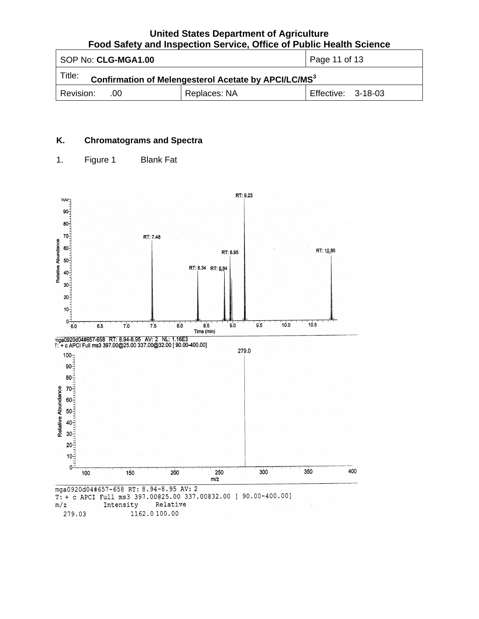<span id="page-10-0"></span>

| SOP No: CLG-MGA1.00                                                        | Page 11 of 13 |                    |  |
|----------------------------------------------------------------------------|---------------|--------------------|--|
| Title:<br>Confirmation of Melengesterol Acetate by APCI/LC/MS <sup>3</sup> |               |                    |  |
| Revision:<br>- .00                                                         | Replaces: NA  | Effective: 3-18-03 |  |

# **K. Chromatograms and Spectra**

1. Figure 1 Blank Fat

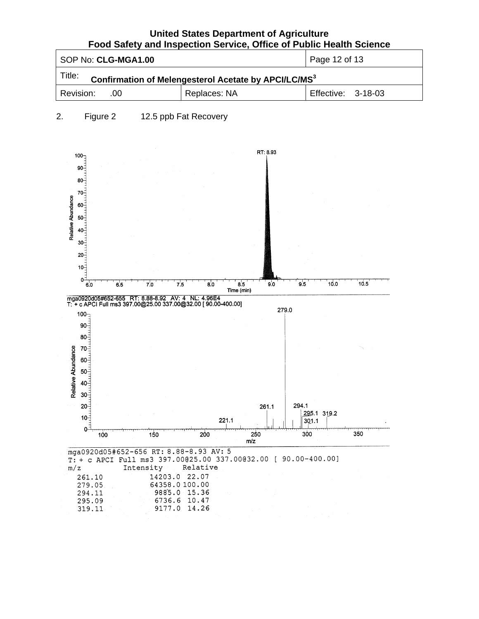| SOP No: CLG-MGA1.00                                                        |              | Page 12 of 13             |
|----------------------------------------------------------------------------|--------------|---------------------------|
| Title:<br>Confirmation of Melengesterol Acetate by APCI/LC/MS <sup>3</sup> |              |                           |
| l Revision:<br>$-00$                                                       | Replaces: NA | <b>Effective: 3-18-03</b> |

#### 2. Figure 2 12.5 ppb Fat Recovery